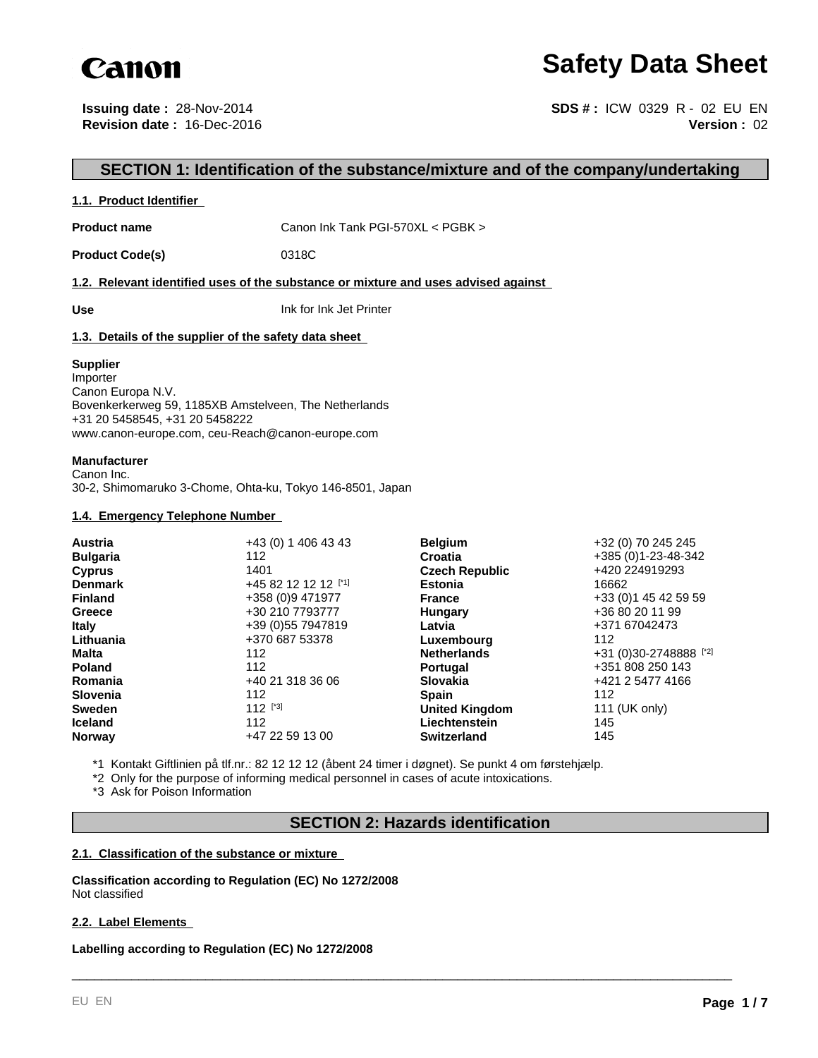

# **Safety Data Sheet**

**Issuing date :** 28-Nov-2014 **Revision date :** 16-Dec-2016

**Version :** 02 **SDS # :** ICW 0329 R - 02 EU EN

# **SECTION 1: Identification of the substance/mixture and of the company/undertaking**

#### **1.1. Product Identifier**

Product name **Canon Ink Tank PGI-570XL < PGBK** >

Product Code(s) 0318C

#### **1.2. Relevant identified uses of the substance or mixture and uses advised against**

**Use** Ink for Ink Jet Printer

#### **1.3. Details of the supplier of the safety data sheet**

#### **Supplier**

Importer Canon Europa N.V. Bovenkerkerweg 59, 1185XB Amstelveen, The Netherlands +31 20 5458545, +31 20 5458222 www.canon-europe.com, ceu-Reach@canon-europe.com

#### **Manufacturer**

Canon Inc. 30-2, Shimomaruko 3-Chome, Ohta-ku, Tokyo 146-8501, Japan

#### **1.4. Emergency Telephone Number**

| <b>Austria</b>  | +43 (0) 1 406 43 43 | <b>Belgium</b>        | +32 (0) 70 245 245     |
|-----------------|---------------------|-----------------------|------------------------|
| <b>Bulgaria</b> | 112                 | Croatia               | +385 (0)1-23-48-342    |
| <b>Cyprus</b>   | 1401                | <b>Czech Republic</b> | +420 224919293         |
| <b>Denmark</b>  | +45 82 12 12 12 [1] | <b>Estonia</b>        | 16662                  |
| <b>Finland</b>  | +358 (0)9 471977    | <b>France</b>         | +33 (0) 1 45 42 59 59  |
| Greece          | +30 210 7793777     | Hungary               | +36 80 20 11 99        |
| <b>Italy</b>    | +39 (0) 55 7947819  | Latvia                | +371 67042473          |
| Lithuania       | +370 687 53378      | Luxembourg            | 112                    |
| Malta           | 112                 | <b>Netherlands</b>    | +31 (0)30-2748888 [*2] |
| <b>Poland</b>   | 112                 | <b>Portugal</b>       | +351 808 250 143       |
| Romania         | +40 21 318 36 06    | <b>Slovakia</b>       | +421 2 5477 4166       |
| <b>Slovenia</b> | 112                 | <b>Spain</b>          | 112                    |
| <b>Sweden</b>   | $112$ [*3]          | <b>United Kingdom</b> | 111 (UK only)          |
| <b>Iceland</b>  | 112                 | Liechtenstein         | 145                    |
| <b>Norway</b>   | +47 22 59 13 00     | <b>Switzerland</b>    | 145                    |

\*1 Kontakt Giftlinien på tlf.nr.: 82 12 12 12 (åbent 24 timer i døgnet). Se punkt 4 om førstehjælp.

\*2 Only for the purpose of informing medical personnel in cases of acute intoxications.

\*3 Ask for Poison Information

# **SECTION 2: Hazards identification**

\_\_\_\_\_\_\_\_\_\_\_\_\_\_\_\_\_\_\_\_\_\_\_\_\_\_\_\_\_\_\_\_\_\_\_\_\_\_\_\_\_\_\_\_\_\_\_\_\_\_\_\_\_\_\_\_\_\_\_\_\_\_\_\_\_\_\_\_\_\_\_\_\_\_\_\_\_\_\_\_\_\_\_\_\_\_\_\_\_

#### **2.1. Classification of the substance or mixture**

**Classification according to Regulation (EC) No 1272/2008** Not classified

#### **2.2. Label Elements**

**Labelling according to Regulation (EC) No 1272/2008**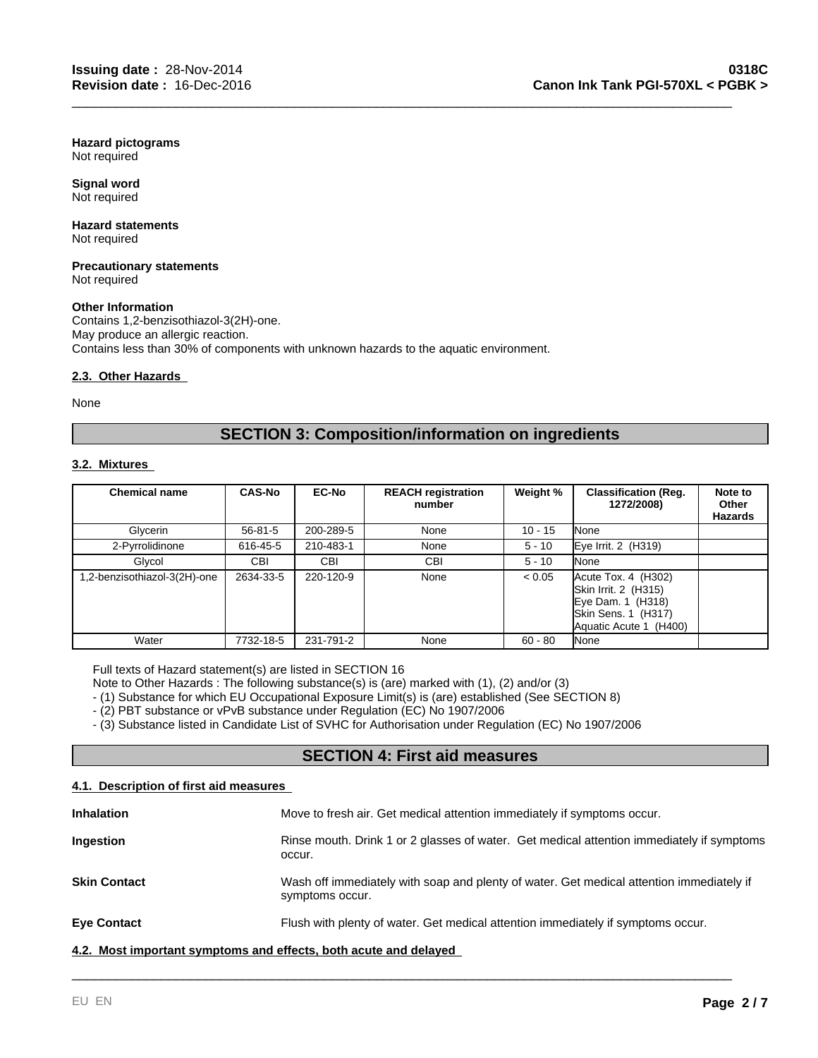**Hazard pictograms** Not required

**Signal word** Not required

#### **Hazard statements** Not required

**Precautionary statements** Not required

#### **Other Information**

Contains 1,2-benzisothiazol-3(2H)-one. May produce an allergic reaction. Contains less than 30% of components with unknown hazards to the aquatic environment.

#### **2.3. Other Hazards**

None

# **SECTION 3: Composition/information on ingredients**

\_\_\_\_\_\_\_\_\_\_\_\_\_\_\_\_\_\_\_\_\_\_\_\_\_\_\_\_\_\_\_\_\_\_\_\_\_\_\_\_\_\_\_\_\_\_\_\_\_\_\_\_\_\_\_\_\_\_\_\_\_\_\_\_\_\_\_\_\_\_\_\_\_\_\_\_\_\_\_\_\_\_\_\_\_\_\_\_\_

#### **3.2. Mixtures**

| <b>Chemical name</b>        | <b>CAS-No</b> | <b>EC-No</b> | <b>REACH registration</b><br>number | Weight %  | <b>Classification (Reg.</b><br>1272/2008)                                                                              | Note to<br>Other<br>Hazards |
|-----------------------------|---------------|--------------|-------------------------------------|-----------|------------------------------------------------------------------------------------------------------------------------|-----------------------------|
| Glycerin                    | $56 - 81 - 5$ | 200-289-5    | None                                | $10 - 15$ | None                                                                                                                   |                             |
| 2-Pyrrolidinone             | 616-45-5      | 210-483-1    | None                                | $5 - 10$  | Eye Irrit. 2 (H319)                                                                                                    |                             |
| Glycol                      | CBI           | <b>CBI</b>   | CBI                                 | $5 - 10$  | None                                                                                                                   |                             |
| .2-benzisothiazol-3(2H)-one | 2634-33-5     | 220-120-9    | None                                | < 0.05    | $Accute$ Tox. 4 $(H302)$<br>Skin Irrit. 2 (H315)<br>Eye Dam. 1 (H318)<br>Skin Sens. 1 (H317)<br>Aquatic Acute 1 (H400) |                             |
| Water                       | 7732-18-5     | 231-791-2    | None                                | $60 - 80$ | None                                                                                                                   |                             |

Full texts of Hazard statement(s) are listed in SECTION 16

Note to Other Hazards : The following substance(s) is (are) marked with (1), (2) and/or (3)

- (1) Substance for which EU Occupational Exposure Limit(s) is (are) established (See SECTION 8)

- (2) PBT substance or vPvB substance under Regulation (EC) No 1907/2006

- (3) Substance listed in Candidate List of SVHC for Authorisation under Regulation (EC) No 1907/2006

# **SECTION 4: First aid measures**

#### **4.1. Description of first aid measures**

| <b>Inhalation</b>                                                | Move to fresh air. Get medical attention immediately if symptoms occur.                                     |  |
|------------------------------------------------------------------|-------------------------------------------------------------------------------------------------------------|--|
| Ingestion                                                        | Rinse mouth. Drink 1 or 2 glasses of water. Get medical attention immediately if symptoms<br>occur.         |  |
| <b>Skin Contact</b>                                              | Wash off immediately with soap and plenty of water. Get medical attention immediately if<br>symptoms occur. |  |
| <b>Eye Contact</b>                                               | Flush with plenty of water. Get medical attention immediately if symptoms occur.                            |  |
| 4.2. Most important symptoms and effects, both acute and delayed |                                                                                                             |  |

\_\_\_\_\_\_\_\_\_\_\_\_\_\_\_\_\_\_\_\_\_\_\_\_\_\_\_\_\_\_\_\_\_\_\_\_\_\_\_\_\_\_\_\_\_\_\_\_\_\_\_\_\_\_\_\_\_\_\_\_\_\_\_\_\_\_\_\_\_\_\_\_\_\_\_\_\_\_\_\_\_\_\_\_\_\_\_\_\_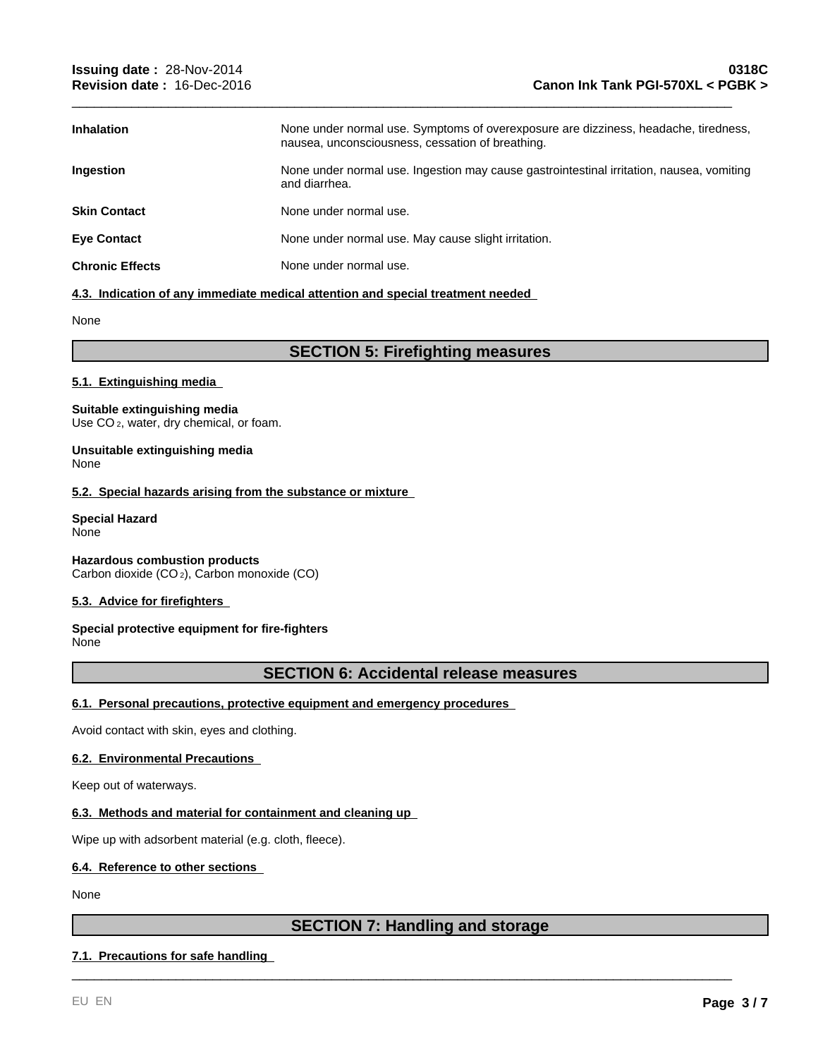| <b>Inhalation</b>      | None under normal use. Symptoms of overexposure are dizziness, headache, tiredness,<br>nausea, unconsciousness, cessation of breathing. |
|------------------------|-----------------------------------------------------------------------------------------------------------------------------------------|
| Ingestion              | None under normal use. Ingestion may cause gastrointestinal irritation, nausea, vomiting<br>and diarrhea.                               |
| <b>Skin Contact</b>    | None under normal use.                                                                                                                  |
| <b>Eye Contact</b>     | None under normal use. May cause slight irritation.                                                                                     |
| <b>Chronic Effects</b> | None under normal use.                                                                                                                  |

\_\_\_\_\_\_\_\_\_\_\_\_\_\_\_\_\_\_\_\_\_\_\_\_\_\_\_\_\_\_\_\_\_\_\_\_\_\_\_\_\_\_\_\_\_\_\_\_\_\_\_\_\_\_\_\_\_\_\_\_\_\_\_\_\_\_\_\_\_\_\_\_\_\_\_\_\_\_\_\_\_\_\_\_\_\_\_\_\_

#### **4.3. Indication of any immediate medical attention and special treatment needed**

#### None

# **SECTION 5: Firefighting measures**

#### **5.1. Extinguishing media**

#### **Suitable extinguishing media**

Use CO<sub>2</sub>, water, dry chemical, or foam.

#### **Unsuitable extinguishing media** None

#### **5.2. Special hazards arising from the substance or mixture**

#### **Special Hazard** None

**Hazardous combustion products** Carbon dioxide (CO 2), Carbon monoxide (CO)

#### **5.3. Advice for firefighters**

#### **Special protective equipment for fire-fighters** None

### **SECTION 6: Accidental release measures**

#### **6.1. Personal precautions, protective equipment and emergency procedures**

Avoid contact with skin, eyes and clothing.

#### **6.2. Environmental Precautions**

Keep out of waterways.

#### **6.3. Methods and material for containment and cleaning up**

Wipe up with adsorbent material (e.g. cloth, fleece).

#### **6.4. Reference to other sections**

None

# **SECTION 7: Handling and storage**

\_\_\_\_\_\_\_\_\_\_\_\_\_\_\_\_\_\_\_\_\_\_\_\_\_\_\_\_\_\_\_\_\_\_\_\_\_\_\_\_\_\_\_\_\_\_\_\_\_\_\_\_\_\_\_\_\_\_\_\_\_\_\_\_\_\_\_\_\_\_\_\_\_\_\_\_\_\_\_\_\_\_\_\_\_\_\_\_\_

### **7.1. Precautions for safe handling**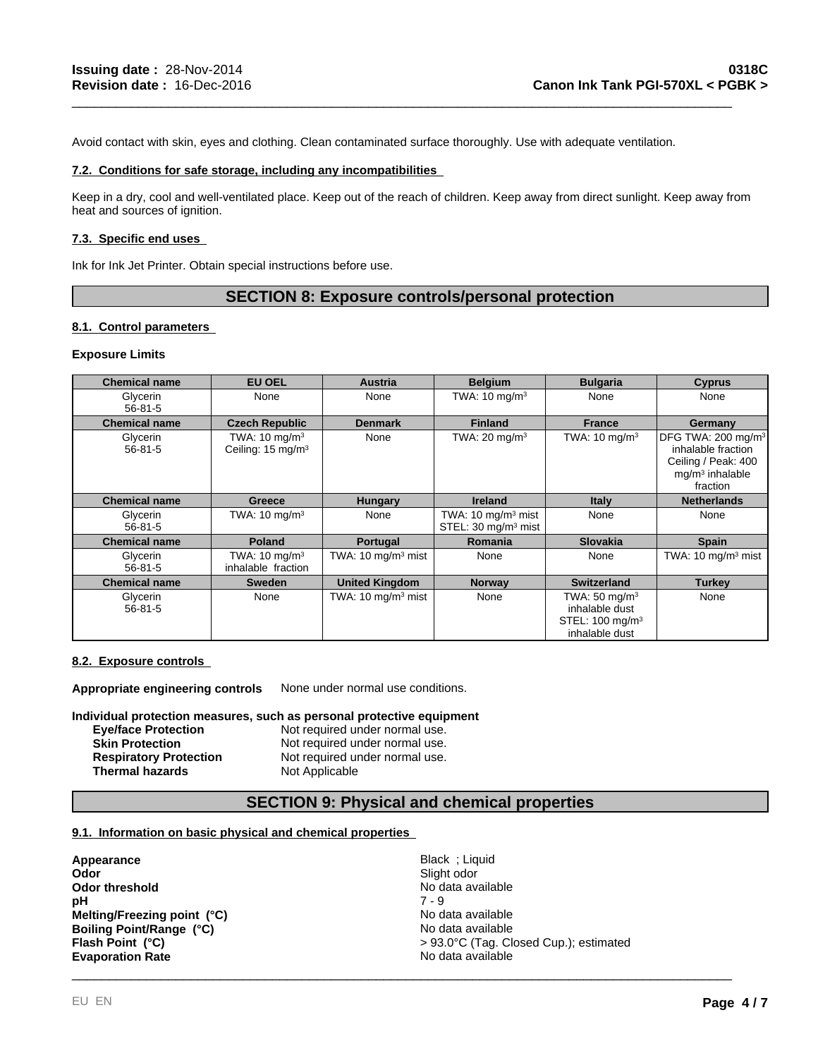Avoid contact with skin, eyes and clothing. Clean contaminated surface thoroughly. Use with adequate ventilation.

#### **7.2. Conditions for safe storage, including any incompatibilities**

Keep in a dry, cool and well-ventilated place. Keep out of the reach of children. Keep away from direct sunlight. Keep away from heat and sources of ignition.

\_\_\_\_\_\_\_\_\_\_\_\_\_\_\_\_\_\_\_\_\_\_\_\_\_\_\_\_\_\_\_\_\_\_\_\_\_\_\_\_\_\_\_\_\_\_\_\_\_\_\_\_\_\_\_\_\_\_\_\_\_\_\_\_\_\_\_\_\_\_\_\_\_\_\_\_\_\_\_\_\_\_\_\_\_\_\_\_\_

#### **7.3. Specific end uses**

Ink for Ink Jet Printer. Obtain special instructions before use.

# **SECTION 8: Exposure controls/personal protection**

#### **8.1. Control parameters**

#### **Exposure Limits**

| <b>Chemical name</b>      | <b>EU OEL</b>                                             | Austria                                  | <b>Belgium</b>                                                   | <b>Bulgaria</b>                                                                             | <b>Cyprus</b>                                                                                                |
|---------------------------|-----------------------------------------------------------|------------------------------------------|------------------------------------------------------------------|---------------------------------------------------------------------------------------------|--------------------------------------------------------------------------------------------------------------|
| Glycerin<br>$56 - 81 - 5$ | None                                                      | None                                     | TWA: $10 \text{ mg/m}^3$                                         | None                                                                                        | None                                                                                                         |
| <b>Chemical name</b>      | <b>Czech Republic</b>                                     | <b>Denmark</b>                           | <b>Finland</b>                                                   | <b>France</b>                                                                               | Germany                                                                                                      |
| Glycerin<br>$56 - 81 - 5$ | TWA: $10 \text{ mg/m}^3$<br>Ceiling: 15 mg/m <sup>3</sup> | None                                     | TWA: $20 \text{ mg/m}^3$                                         | TWA: $10 \text{ mg/m}^3$                                                                    | DFG TWA: 200 mg/m <sup>3</sup><br>inhalable fraction<br>Ceiling / Peak: 400<br>$mq/m3$ inhalable<br>fraction |
| <b>Chemical name</b>      | Greece                                                    | <b>Hungary</b>                           | <b>Ireland</b>                                                   | Italy                                                                                       | <b>Netherlands</b>                                                                                           |
| Glycerin<br>$56 - 81 - 5$ | TWA: $10 \text{ mg/m}^3$                                  | None                                     | TWA: $10 \text{ mg/m}^3$ mist<br>STEL: 30 mg/m <sup>3</sup> mist | None                                                                                        | None                                                                                                         |
| <b>Chemical name</b>      | <b>Poland</b>                                             | Portugal                                 | <b>Romania</b>                                                   | <b>Slovakia</b>                                                                             | <b>Spain</b>                                                                                                 |
| Glycerin<br>$56 - 81 - 5$ | TWA: $10 \text{ mg/m}^3$<br>inhalable fraction            | TWA: $10 \text{ mg/m}^3$ mist            | None                                                             | None                                                                                        | TWA: $10 \text{ mg/m}^3$ mist                                                                                |
| <b>Chemical name</b>      | <b>Sweden</b>                                             | <b>United Kingdom</b>                    | <b>Norway</b>                                                    | <b>Switzerland</b>                                                                          | <b>Turkey</b>                                                                                                |
| Glycerin<br>$56 - 81 - 5$ | None                                                      | TWA: $10 \text{ mg/m}$ <sup>3</sup> mist | None                                                             | TWA: $50 \text{ mg/m}^3$<br>inhalable dust<br>STEL: 100 mg/m <sup>3</sup><br>inhalable dust | None                                                                                                         |

#### **8.2. Exposure controls**

**Appropriate engineering controls** None under normal use conditions.

**Individual protection measures, such as personal protective equipment**

| <b>Eve/face Protection</b>    | Not required under normal use. |
|-------------------------------|--------------------------------|
| <b>Skin Protection</b>        | Not required under normal use. |
| <b>Respiratory Protection</b> | Not required under normal use. |
| <b>Thermal hazards</b>        | Not Applicable                 |

# **SECTION 9: Physical and chemical properties**

#### **9.1. Information on basic physical and chemical properties**

| Appearance                  | Black ; Liquid                         |
|-----------------------------|----------------------------------------|
| Odor                        | Slight odor                            |
| Odor threshold              | No data available                      |
| pН                          | 7 - 9                                  |
| Melting/Freezing point (°C) | No data available                      |
| Boiling Point/Range (°C)    | No data available                      |
| Flash Point (°C)            | > 93.0°C (Tag. Closed Cup.); estimated |
| <b>Evaporation Rate</b>     | No data available                      |
|                             |                                        |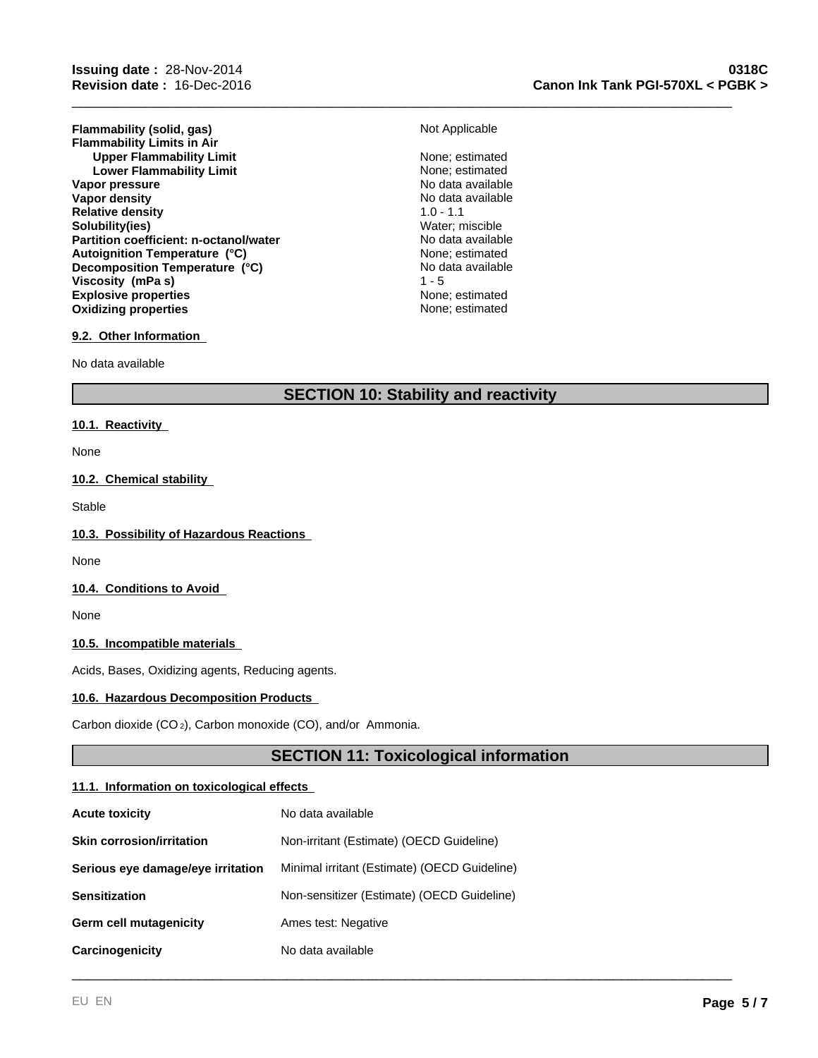**Flammability (solid, gas)** Not Applicable **Flammability Limits in Air Upper Flammability Limit** None; estimated<br>
Lower Flammability Limit<br>
None: estimated **Lower Flammability Limit** None; estimated<br>
None; estimated<br>
No data available **Vapor pressure**<br> **Vapor density**<br> **Vapor density**<br> **Vapor density Vapor density** No data<br> **Relative density** No data available 1.0 - 1.1 **Relative density Solubility(ies)** Water; miscible **Partition coefficient: n-octanol/water Explosive properties**<br> **Explosive properties**<br> **Oxidizing properties**<br> **None:** estimated **Oxidizing properties Autoignition Temperature (°C)** None; estimated **Decomposition Temperature (°C) Viscosity (mPa s)** 1 - 5

## **Canon Ink Tank PGI-570XL < PGBK > 0318C**

\_\_\_\_\_\_\_\_\_\_\_\_\_\_\_\_\_\_\_\_\_\_\_\_\_\_\_\_\_\_\_\_\_\_\_\_\_\_\_\_\_\_\_\_\_\_\_\_\_\_\_\_\_\_\_\_\_\_\_\_\_\_\_\_\_\_\_\_\_\_\_\_\_\_\_\_\_\_\_\_\_\_\_\_\_\_\_\_\_

No data available

#### **9.2. Other Information**

No data available

# **SECTION 10: Stability and reactivity**

#### **10.1. Reactivity**

None

#### **10.2. Chemical stability**

Stable

#### **10.3. Possibility of Hazardous Reactions**

None

#### **10.4. Conditions to Avoid**

None

### **10.5. Incompatible materials**

Acids, Bases, Oxidizing agents, Reducing agents.

#### **10.6. Hazardous Decomposition Products**

Carbon dioxide (CO 2), Carbon monoxide (CO), and/or Ammonia.

# **SECTION 11: Toxicological information**

\_\_\_\_\_\_\_\_\_\_\_\_\_\_\_\_\_\_\_\_\_\_\_\_\_\_\_\_\_\_\_\_\_\_\_\_\_\_\_\_\_\_\_\_\_\_\_\_\_\_\_\_\_\_\_\_\_\_\_\_\_\_\_\_\_\_\_\_\_\_\_\_\_\_\_\_\_\_\_\_\_\_\_\_\_\_\_\_\_

#### **11.1. Information on toxicological effects**

| <b>Acute toxicity</b>             | No data available                            |
|-----------------------------------|----------------------------------------------|
| <b>Skin corrosion/irritation</b>  | Non-irritant (Estimate) (OECD Guideline)     |
| Serious eye damage/eye irritation | Minimal irritant (Estimate) (OECD Guideline) |
| <b>Sensitization</b>              | Non-sensitizer (Estimate) (OECD Guideline)   |
| Germ cell mutagenicity            | Ames test: Negative                          |
| Carcinogenicity                   | No data available                            |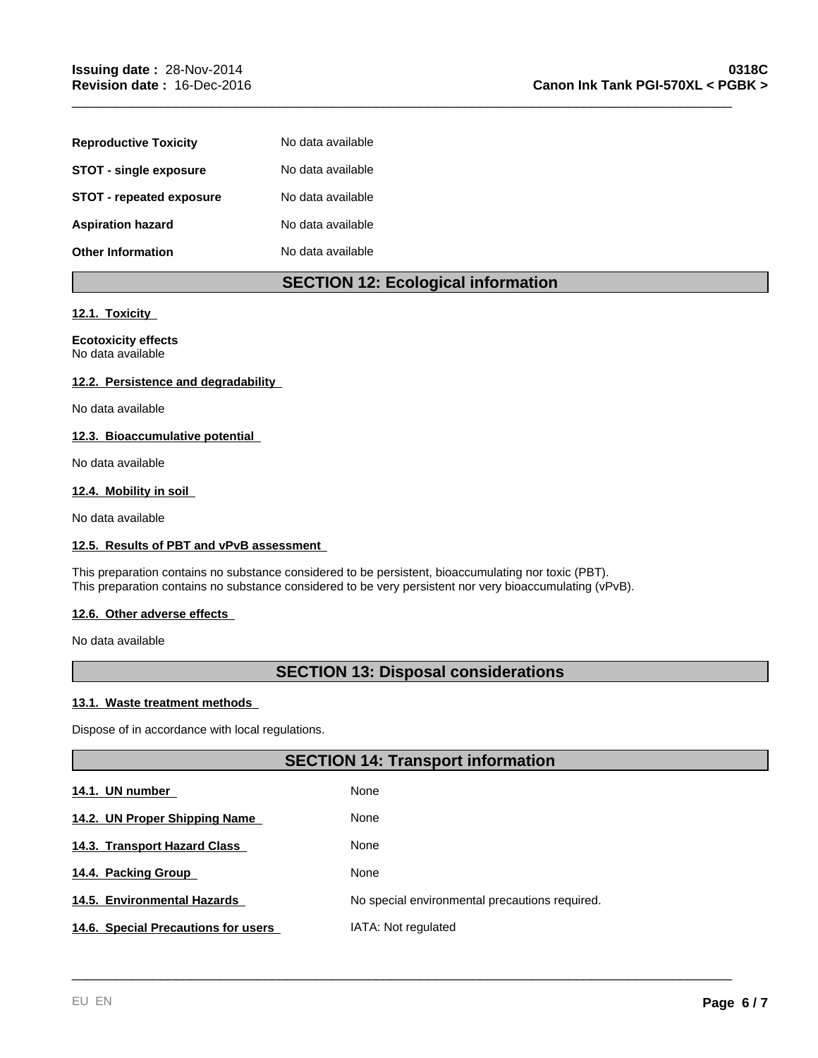| <b>Reproductive Toxicity</b>  | No data available |
|-------------------------------|-------------------|
| <b>STOT - single exposure</b> | No data available |
| STOT - repeated exposure      | No data available |
| <b>Aspiration hazard</b>      | No data available |
| <b>Other Information</b>      | No data available |

# **SECTION 12: Ecological information**

\_\_\_\_\_\_\_\_\_\_\_\_\_\_\_\_\_\_\_\_\_\_\_\_\_\_\_\_\_\_\_\_\_\_\_\_\_\_\_\_\_\_\_\_\_\_\_\_\_\_\_\_\_\_\_\_\_\_\_\_\_\_\_\_\_\_\_\_\_\_\_\_\_\_\_\_\_\_\_\_\_\_\_\_\_\_\_\_\_

#### **12.1. Toxicity**

#### **Ecotoxicity effects** No data available

#### **12.2. Persistence and degradability**

No data available

# **12.3. Bioaccumulative potential**

No data available

#### **12.4. Mobility in soil**

No data available

#### **12.5. Results of PBT and vPvB assessment**

This preparation contains no substance considered to be persistent, bioaccumulating nor toxic (PBT). This preparation contains no substance considered to be very persistent nor very bioaccumulating (vPvB).

#### **12.6. Other adverse effects**

No data available

# **SECTION 13: Disposal considerations**

#### **13.1. Waste treatment methods**

Dispose of in accordance with local regulations.

# **SECTION 14: Transport information**

\_\_\_\_\_\_\_\_\_\_\_\_\_\_\_\_\_\_\_\_\_\_\_\_\_\_\_\_\_\_\_\_\_\_\_\_\_\_\_\_\_\_\_\_\_\_\_\_\_\_\_\_\_\_\_\_\_\_\_\_\_\_\_\_\_\_\_\_\_\_\_\_\_\_\_\_\_\_\_\_\_\_\_\_\_\_\_\_\_

| 14.1. UN number                     | None                                           |
|-------------------------------------|------------------------------------------------|
| 14.2. UN Proper Shipping Name       | None                                           |
| 14.3. Transport Hazard Class        | None                                           |
| 14.4. Packing Group                 | None                                           |
| 14.5. Environmental Hazards         | No special environmental precautions required. |
| 14.6. Special Precautions for users | IATA: Not regulated                            |